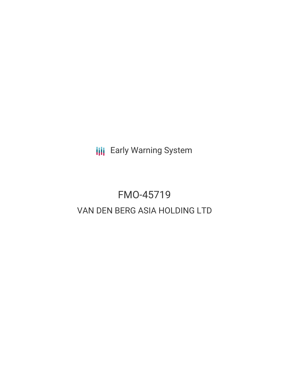**III** Early Warning System

# FMO-45719 VAN DEN BERG ASIA HOLDING LTD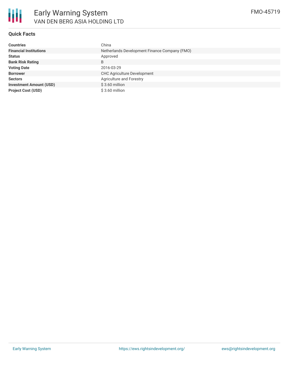### **Quick Facts**

| <b>Countries</b>               | China                                         |
|--------------------------------|-----------------------------------------------|
| <b>Financial Institutions</b>  | Netherlands Development Finance Company (FMO) |
| <b>Status</b>                  | Approved                                      |
| <b>Bank Risk Rating</b>        | B                                             |
| <b>Voting Date</b>             | 2016-03-29                                    |
| <b>Borrower</b>                | <b>CHC Agriculture Development</b>            |
| <b>Sectors</b>                 | Agriculture and Forestry                      |
| <b>Investment Amount (USD)</b> | $$3.60$ million                               |
| <b>Project Cost (USD)</b>      | $$3.60$ million                               |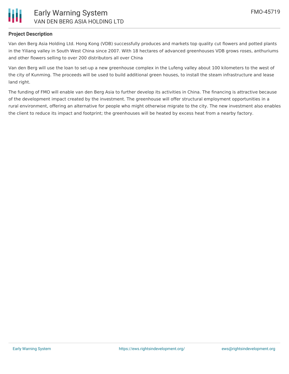

#### **Project Description**

Van den Berg Asia Holding Ltd. Hong Kong (VDB) successfully produces and markets top quality cut flowers and potted plants in the Yiliang valley in South West China since 2007. With 18 hectares of advanced greenhouses VDB grows roses, anthuriums and other flowers selling to over 200 distributors all over China

Van den Berg will use the loan to set-up a new greenhouse complex in the Lufeng valley about 100 kilometers to the west of the city of Kunming. The proceeds will be used to build additional green houses, to install the steam infrastructure and lease land right.

The funding of FMO will enable van den Berg Asia to further develop its activities in China. The financing is attractive because of the development impact created by the investment. The greenhouse will offer structural employment opportunities in a rural environment, offering an alternative for people who might otherwise migrate to the city. The new investment also enables the client to reduce its impact and footprint; the greenhouses will be heated by excess heat from a nearby factory.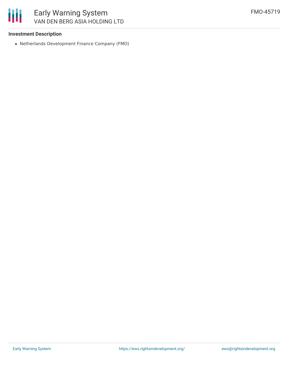#### **Investment Description**

Netherlands Development Finance Company (FMO)